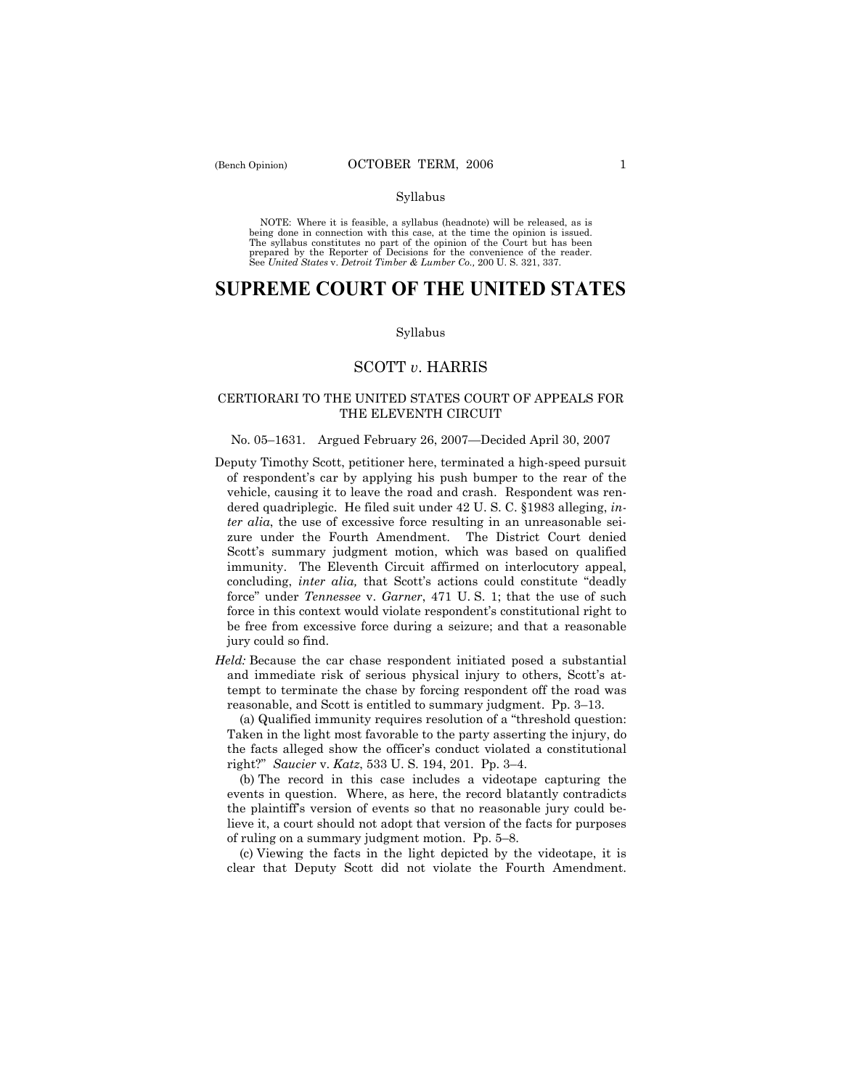#### Syllabus

NOTE: Where it is feasible, a syllabus (headnote) will be released, as is being done in connection with this case, at the time the opinion is issued. The syllabus constitutes no part of the opinion of the Court but has been<br>prepared by the Reporter of Decisions for the convenience of the reader.<br>See United States v. Detroit Timber & Lumber Co., 200 U. S. 321, 337.

# **SUPREME COURT OF THE UNITED STATES**

#### Syllabus

# SCOTT *v*. HARRIS

# CERTIORARI TO THE UNITED STATES COURT OF APPEALS FOR THE ELEVENTH CIRCUIT

#### No. 05–1631. Argued February 26, 2007–Decided April 30, 2007

- Deputy Timothy Scott, petitioner here, terminated a high-speed pursuit of respondentís car by applying his push bumper to the rear of the vehicle, causing it to leave the road and crash. Respondent was rendered quadriplegic. He filed suit under 42 U. S. C. ß1983 alleging, *inter alia*, the use of excessive force resulting in an unreasonable seizure under the Fourth Amendment. The District Court denied Scott's summary judgment motion, which was based on qualified immunity. The Eleventh Circuit affirmed on interlocutory appeal, concluding, *inter alia*, that Scott's actions could constitute "deadly forceî under *Tennessee* v. *Garner*, 471 U. S. 1; that the use of such force in this context would violate respondent's constitutional right to be free from excessive force during a seizure; and that a reasonable jury could so find.
- *Held:* Because the car chase respondent initiated posed a substantial and immediate risk of serious physical injury to others, Scott's attempt to terminate the chase by forcing respondent off the road was reasonable, and Scott is entitled to summary judgment. Pp. 3-13.

(a) Qualified immunity requires resolution of a "threshold question: Taken in the light most favorable to the party asserting the injury, do the facts alleged show the officerís conduct violated a constitutional right?" *Saucier* v. *Katz*, 533 U. S. 194, 201. Pp. 3-4.

 (b) The record in this case includes a videotape capturing the events in question. Where, as here, the record blatantly contradicts the plaintiffís version of events so that no reasonable jury could believe it, a court should not adopt that version of the facts for purposes of ruling on a summary judgment motion. Pp.  $5-8$ .

 (c) Viewing the facts in the light depicted by the videotape, it is clear that Deputy Scott did not violate the Fourth Amendment.